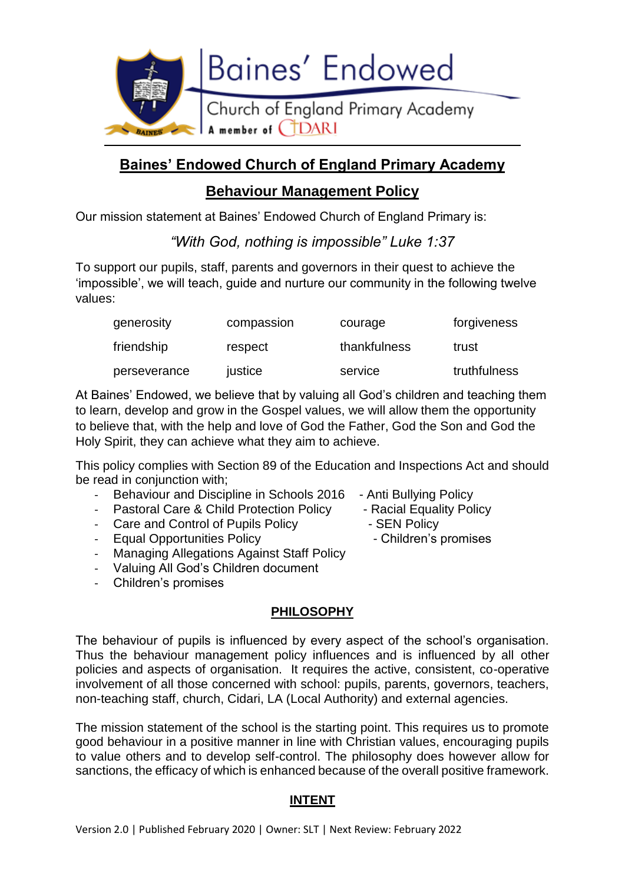

# **Baines' Endowed Church of England Primary Academy**

## **Behaviour Management Policy**

Our mission statement at Baines' Endowed Church of England Primary is:

*"With God, nothing is impossible" Luke 1:37*

To support our pupils, staff, parents and governors in their quest to achieve the 'impossible', we will teach, guide and nurture our community in the following twelve values:

| generosity   | compassion | courage      | forgiveness  |
|--------------|------------|--------------|--------------|
| friendship   | respect    | thankfulness | trust        |
| perseverance | justice    | service      | truthfulness |

At Baines' Endowed, we believe that by valuing all God's children and teaching them to learn, develop and grow in the Gospel values, we will allow them the opportunity to believe that, with the help and love of God the Father, God the Son and God the Holy Spirit, they can achieve what they aim to achieve.

This policy complies with Section 89 of the Education and Inspections Act and should be read in conjunction with;

- Behaviour and Discipline in Schools 2016 Anti Bullying Policy
- Pastoral Care & Child Protection Policy Racial Equality Policy<br>- Care and Control of Pupils Policy SEN Policy
- Care and Control of Pupils Policy
- Equal Opportunities Policy **Children's promises**
- Managing Allegations Against Staff Policy
- Valuing All God's Children document
- Children's promises

## **PHILOSOPHY**

The behaviour of pupils is influenced by every aspect of the school's organisation. Thus the behaviour management policy influences and is influenced by all other policies and aspects of organisation. It requires the active, consistent, co-operative involvement of all those concerned with school: pupils, parents, governors, teachers, non-teaching staff, church, Cidari, LA (Local Authority) and external agencies.

The mission statement of the school is the starting point. This requires us to promote good behaviour in a positive manner in line with Christian values, encouraging pupils to value others and to develop self-control. The philosophy does however allow for sanctions, the efficacy of which is enhanced because of the overall positive framework.

## **INTENT**

- -
	-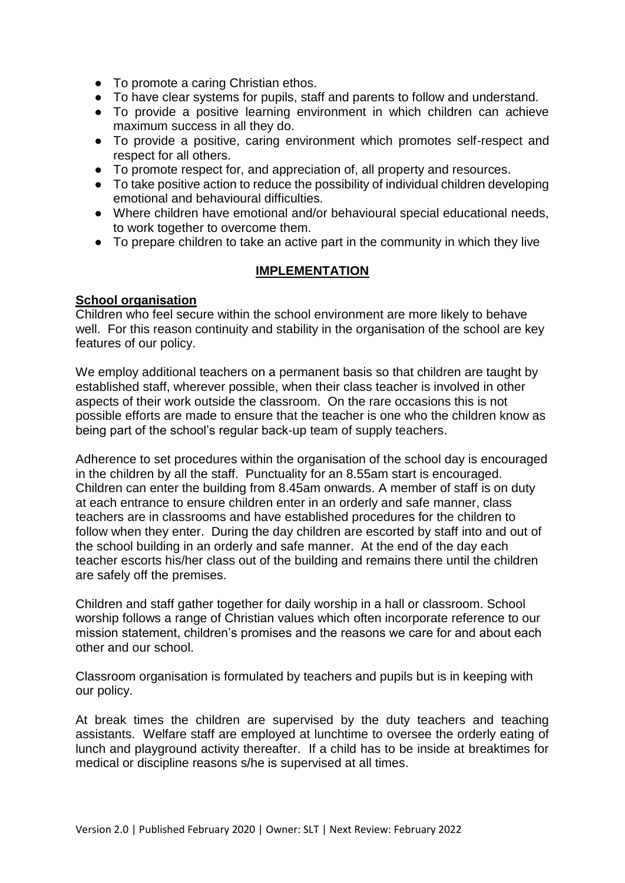- To promote a caring Christian ethos.
- To have clear systems for pupils, staff and parents to follow and understand.
- To provide a positive learning environment in which children can achieve maximum success in all they do.
- To provide a positive, caring environment which promotes self-respect and respect for all others.
- To promote respect for, and appreciation of, all property and resources.
- To take positive action to reduce the possibility of individual children developing emotional and behavioural difficulties.
- Where children have emotional and/or behavioural special educational needs, to work together to overcome them.
- To prepare children to take an active part in the community in which they live

#### **IMPLEMENTATION**

#### **School organisation**

Children who feel secure within the school environment are more likely to behave well. For this reason continuity and stability in the organisation of the school are key features of our policy.

We employ additional teachers on a permanent basis so that children are taught by established staff, wherever possible, when their class teacher is involved in other aspects of their work outside the classroom. On the rare occasions this is not possible efforts are made to ensure that the teacher is one who the children know as being part of the school's regular back-up team of supply teachers.

Adherence to set procedures within the organisation of the school day is encouraged in the children by all the staff. Punctuality for an 8.55am start is encouraged. Children can enter the building from 8.45am onwards. A member of staff is on duty at each entrance to ensure children enter in an orderly and safe manner, class teachers are in classrooms and have established procedures for the children to follow when they enter. During the day children are escorted by staff into and out of the school building in an orderly and safe manner. At the end of the day each teacher escorts his/her class out of the building and remains there until the children are safely off the premises.

Children and staff gather together for daily worship in a hall or classroom. School worship follows a range of Christian values which often incorporate reference to our mission statement, children's promises and the reasons we care for and about each other and our school.

Classroom organisation is formulated by teachers and pupils but is in keeping with our policy.

At break times the children are supervised by the duty teachers and teaching assistants. Welfare staff are employed at lunchtime to oversee the orderly eating of lunch and playground activity thereafter. If a child has to be inside at breaktimes for medical or discipline reasons s/he is supervised at all times.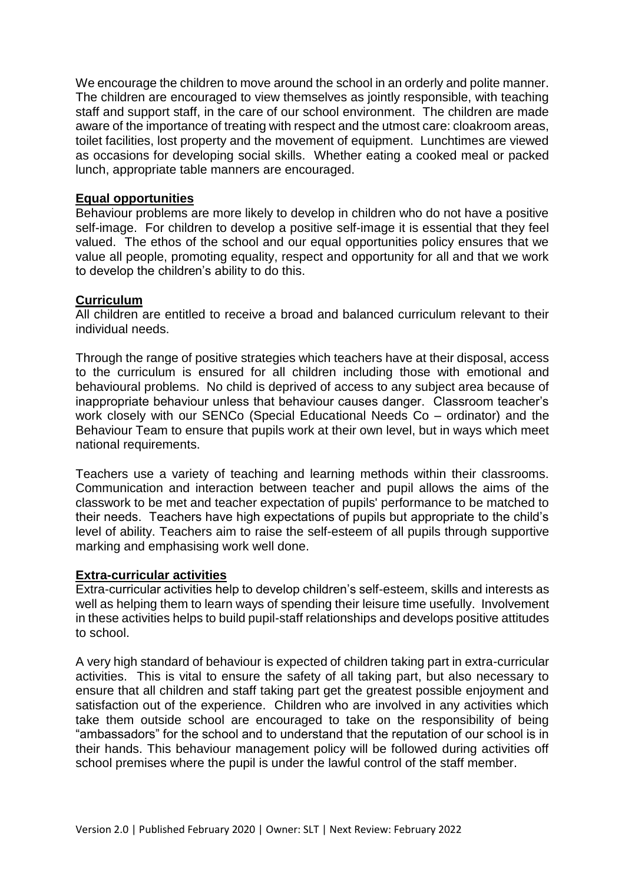We encourage the children to move around the school in an orderly and polite manner. The children are encouraged to view themselves as jointly responsible, with teaching staff and support staff, in the care of our school environment. The children are made aware of the importance of treating with respect and the utmost care: cloakroom areas, toilet facilities, lost property and the movement of equipment. Lunchtimes are viewed as occasions for developing social skills. Whether eating a cooked meal or packed lunch, appropriate table manners are encouraged.

#### **Equal opportunities**

Behaviour problems are more likely to develop in children who do not have a positive self-image. For children to develop a positive self-image it is essential that they feel valued. The ethos of the school and our equal opportunities policy ensures that we value all people, promoting equality, respect and opportunity for all and that we work to develop the children's ability to do this.

#### **Curriculum**

All children are entitled to receive a broad and balanced curriculum relevant to their individual needs.

Through the range of positive strategies which teachers have at their disposal, access to the curriculum is ensured for all children including those with emotional and behavioural problems. No child is deprived of access to any subject area because of inappropriate behaviour unless that behaviour causes danger. Classroom teacher's work closely with our SENCo (Special Educational Needs Co – ordinator) and the Behaviour Team to ensure that pupils work at their own level, but in ways which meet national requirements.

Teachers use a variety of teaching and learning methods within their classrooms. Communication and interaction between teacher and pupil allows the aims of the classwork to be met and teacher expectation of pupils' performance to be matched to their needs. Teachers have high expectations of pupils but appropriate to the child's level of ability. Teachers aim to raise the self-esteem of all pupils through supportive marking and emphasising work well done.

#### **Extra-curricular activities**

Extra-curricular activities help to develop children's self-esteem, skills and interests as well as helping them to learn ways of spending their leisure time usefully. Involvement in these activities helps to build pupil-staff relationships and develops positive attitudes to school.

A very high standard of behaviour is expected of children taking part in extra-curricular activities. This is vital to ensure the safety of all taking part, but also necessary to ensure that all children and staff taking part get the greatest possible enjoyment and satisfaction out of the experience. Children who are involved in any activities which take them outside school are encouraged to take on the responsibility of being "ambassadors" for the school and to understand that the reputation of our school is in their hands. This behaviour management policy will be followed during activities off school premises where the pupil is under the lawful control of the staff member.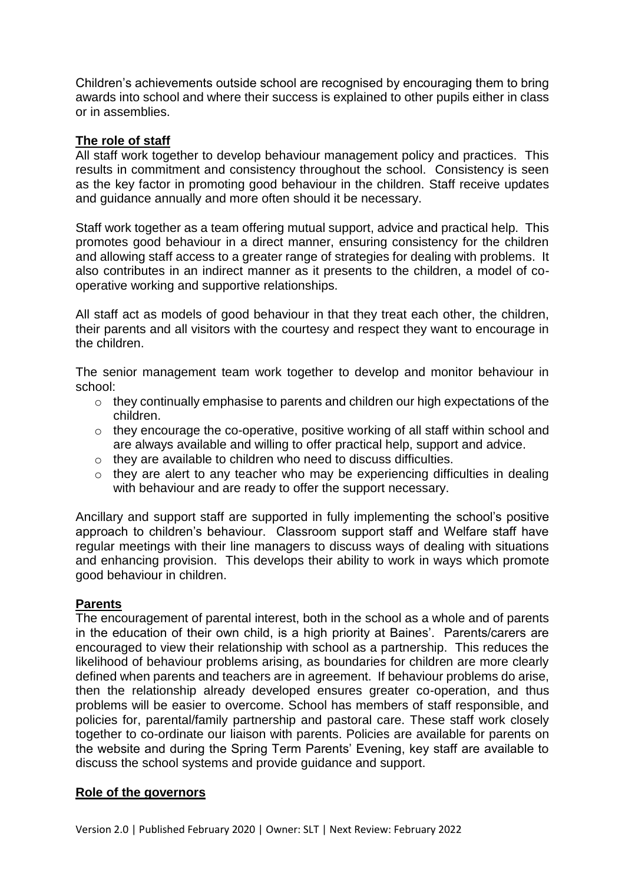Children's achievements outside school are recognised by encouraging them to bring awards into school and where their success is explained to other pupils either in class or in assemblies.

#### **The role of staff**

All staff work together to develop behaviour management policy and practices. This results in commitment and consistency throughout the school. Consistency is seen as the key factor in promoting good behaviour in the children. Staff receive updates and guidance annually and more often should it be necessary.

Staff work together as a team offering mutual support, advice and practical help. This promotes good behaviour in a direct manner, ensuring consistency for the children and allowing staff access to a greater range of strategies for dealing with problems. It also contributes in an indirect manner as it presents to the children, a model of cooperative working and supportive relationships.

All staff act as models of good behaviour in that they treat each other, the children, their parents and all visitors with the courtesy and respect they want to encourage in the children.

The senior management team work together to develop and monitor behaviour in school:

- o they continually emphasise to parents and children our high expectations of the children.
- o they encourage the co-operative, positive working of all staff within school and are always available and willing to offer practical help, support and advice.
- o they are available to children who need to discuss difficulties.
- o they are alert to any teacher who may be experiencing difficulties in dealing with behaviour and are ready to offer the support necessary.

Ancillary and support staff are supported in fully implementing the school's positive approach to children's behaviour. Classroom support staff and Welfare staff have regular meetings with their line managers to discuss ways of dealing with situations and enhancing provision. This develops their ability to work in ways which promote good behaviour in children.

#### **Parents**

The encouragement of parental interest, both in the school as a whole and of parents in the education of their own child, is a high priority at Baines'. Parents/carers are encouraged to view their relationship with school as a partnership. This reduces the likelihood of behaviour problems arising, as boundaries for children are more clearly defined when parents and teachers are in agreement. If behaviour problems do arise, then the relationship already developed ensures greater co-operation, and thus problems will be easier to overcome. School has members of staff responsible, and policies for, parental/family partnership and pastoral care. These staff work closely together to co-ordinate our liaison with parents. Policies are available for parents on the website and during the Spring Term Parents' Evening, key staff are available to discuss the school systems and provide guidance and support.

#### **Role of the governors**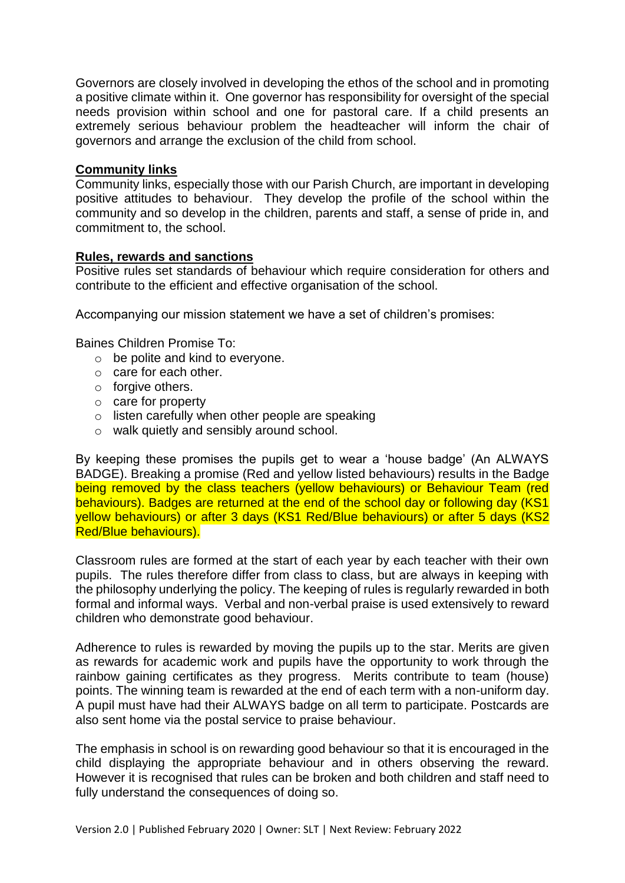Governors are closely involved in developing the ethos of the school and in promoting a positive climate within it. One governor has responsibility for oversight of the special needs provision within school and one for pastoral care. If a child presents an extremely serious behaviour problem the headteacher will inform the chair of governors and arrange the exclusion of the child from school.

#### **Community links**

Community links, especially those with our Parish Church, are important in developing positive attitudes to behaviour. They develop the profile of the school within the community and so develop in the children, parents and staff, a sense of pride in, and commitment to, the school.

#### **Rules, rewards and sanctions**

Positive rules set standards of behaviour which require consideration for others and contribute to the efficient and effective organisation of the school.

Accompanying our mission statement we have a set of children's promises:

Baines Children Promise To:

- o be polite and kind to everyone.
- o care for each other.
- $\circ$  forgive others.
- o care for property
- $\circ$  listen carefully when other people are speaking
- o walk quietly and sensibly around school.

By keeping these promises the pupils get to wear a 'house badge' (An ALWAYS BADGE). Breaking a promise (Red and yellow listed behaviours) results in the Badge being removed by the class teachers (yellow behaviours) or Behaviour Team (red behaviours). Badges are returned at the end of the school day or following day (KS1 yellow behaviours) or after 3 days (KS1 Red/Blue behaviours) or after 5 days (KS2 Red/Blue behaviours).

Classroom rules are formed at the start of each year by each teacher with their own pupils. The rules therefore differ from class to class, but are always in keeping with the philosophy underlying the policy. The keeping of rules is regularly rewarded in both formal and informal ways. Verbal and non-verbal praise is used extensively to reward children who demonstrate good behaviour.

Adherence to rules is rewarded by moving the pupils up to the star. Merits are given as rewards for academic work and pupils have the opportunity to work through the rainbow gaining certificates as they progress. Merits contribute to team (house) points. The winning team is rewarded at the end of each term with a non-uniform day. A pupil must have had their ALWAYS badge on all term to participate. Postcards are also sent home via the postal service to praise behaviour.

The emphasis in school is on rewarding good behaviour so that it is encouraged in the child displaying the appropriate behaviour and in others observing the reward. However it is recognised that rules can be broken and both children and staff need to fully understand the consequences of doing so.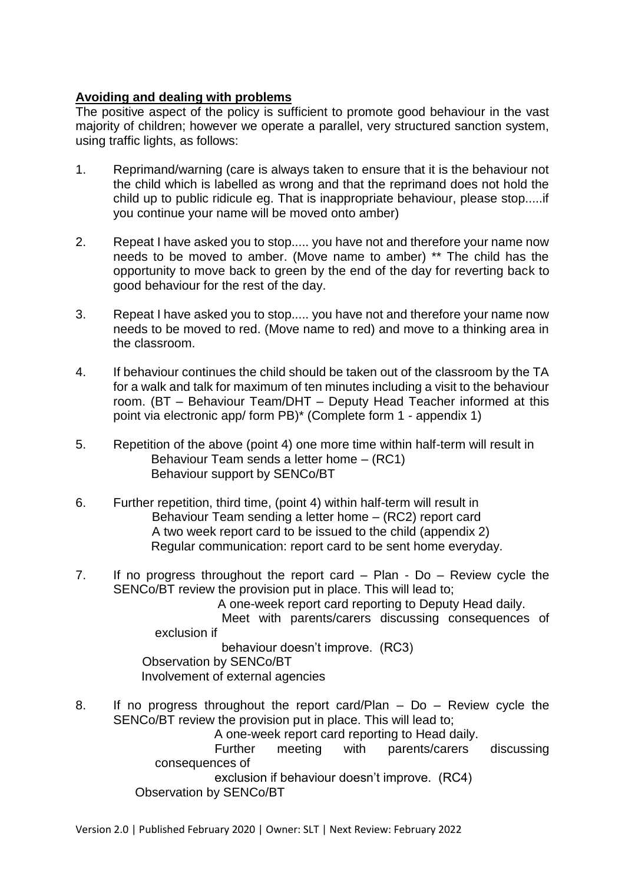#### **Avoiding and dealing with problems**

The positive aspect of the policy is sufficient to promote good behaviour in the vast majority of children; however we operate a parallel, very structured sanction system, using traffic lights, as follows:

- 1. Reprimand/warning (care is always taken to ensure that it is the behaviour not the child which is labelled as wrong and that the reprimand does not hold the child up to public ridicule eg. That is inappropriate behaviour, please stop.....if you continue your name will be moved onto amber)
- 2. Repeat I have asked you to stop..... you have not and therefore your name now needs to be moved to amber. (Move name to amber) \*\* The child has the opportunity to move back to green by the end of the day for reverting back to good behaviour for the rest of the day.
- 3. Repeat I have asked you to stop..... you have not and therefore your name now needs to be moved to red. (Move name to red) and move to a thinking area in the classroom.
- 4. If behaviour continues the child should be taken out of the classroom by the TA for a walk and talk for maximum of ten minutes including a visit to the behaviour room. (BT – Behaviour Team/DHT – Deputy Head Teacher informed at this point via electronic app/ form PB)\* (Complete form 1 - appendix 1)
- 5. Repetition of the above (point 4) one more time within half-term will result in Behaviour Team sends a letter home – (RC1) Behaviour support by SENCo/BT
- 6. Further repetition, third time, (point 4) within half-term will result in Behaviour Team sending a letter home – (RC2) report card A two week report card to be issued to the child (appendix 2) Regular communication: report card to be sent home everyday.
- 7. If no progress throughout the report card Plan Do Review cycle the SENCo/BT review the provision put in place. This will lead to;

A one-week report card reporting to Deputy Head daily.

 Meet with parents/carers discussing consequences of exclusion if

 behaviour doesn't improve. (RC3) Observation by SENCo/BT Involvement of external agencies

8. If no progress throughout the report card/Plan – Do – Review cycle the SENCo/BT review the provision put in place. This will lead to;

A one-week report card reporting to Head daily.

 Further meeting with parents/carers discussing consequences of

 exclusion if behaviour doesn't improve. (RC4) Observation by SENCo/BT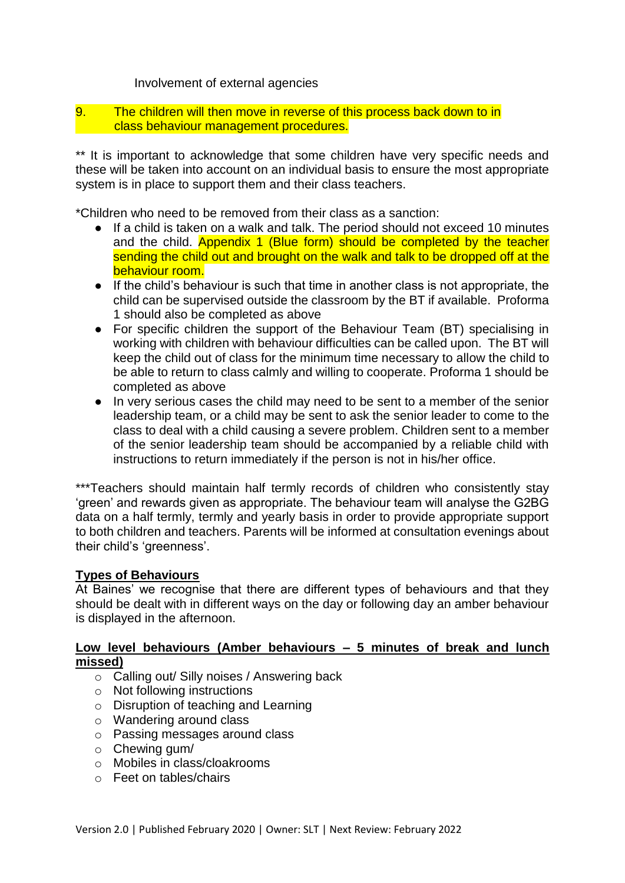Involvement of external agencies

#### 9. The children will then move in reverse of this process back down to in class behaviour management procedures.

\*\* It is important to acknowledge that some children have very specific needs and these will be taken into account on an individual basis to ensure the most appropriate system is in place to support them and their class teachers.

\*Children who need to be removed from their class as a sanction:

- If a child is taken on a walk and talk. The period should not exceed 10 minutes and the child. Appendix 1 (Blue form) should be completed by the teacher sending the child out and brought on the walk and talk to be dropped off at the behaviour room.
- If the child's behaviour is such that time in another class is not appropriate, the child can be supervised outside the classroom by the BT if available. Proforma 1 should also be completed as above
- For specific children the support of the Behaviour Team (BT) specialising in working with children with behaviour difficulties can be called upon. The BT will keep the child out of class for the minimum time necessary to allow the child to be able to return to class calmly and willing to cooperate. Proforma 1 should be completed as above
- In very serious cases the child may need to be sent to a member of the senior leadership team, or a child may be sent to ask the senior leader to come to the class to deal with a child causing a severe problem. Children sent to a member of the senior leadership team should be accompanied by a reliable child with instructions to return immediately if the person is not in his/her office.

\*\*\*Teachers should maintain half termly records of children who consistently stay 'green' and rewards given as appropriate. The behaviour team will analyse the G2BG data on a half termly, termly and yearly basis in order to provide appropriate support to both children and teachers. Parents will be informed at consultation evenings about their child's 'greenness'.

#### **Types of Behaviours**

At Baines' we recognise that there are different types of behaviours and that they should be dealt with in different ways on the day or following day an amber behaviour is displayed in the afternoon.

#### **Low level behaviours (Amber behaviours – 5 minutes of break and lunch missed)**

- o Calling out/ Silly noises / Answering back
- o Not following instructions
- o Disruption of teaching and Learning
- o Wandering around class
- o Passing messages around class
- o Chewing gum/
- o Mobiles in class/cloakrooms
- o Feet on tables/chairs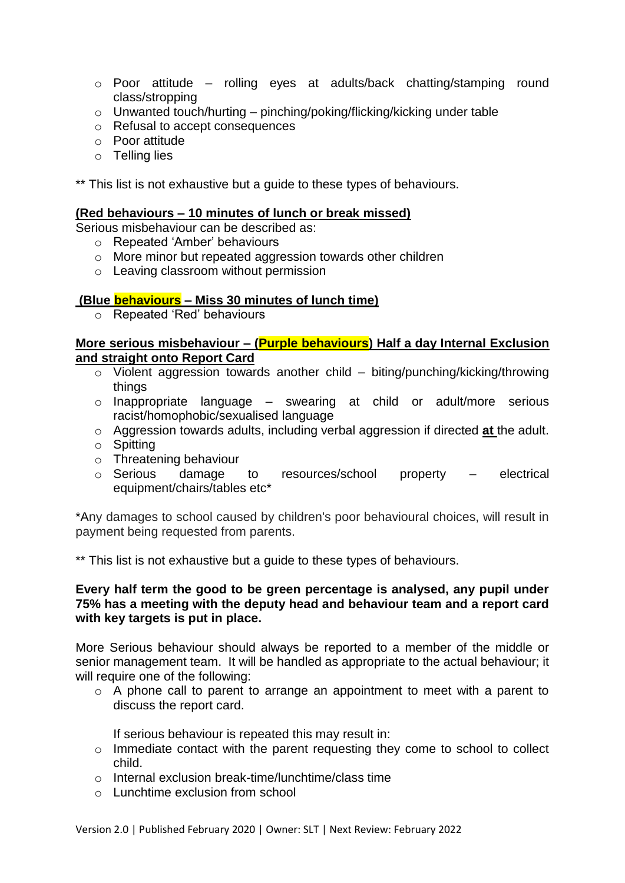- o Poor attitude rolling eyes at adults/back chatting/stamping round class/stropping
- $\circ$  Unwanted touch/hurting pinching/poking/flicking/kicking under table
- o Refusal to accept consequences
- o Poor attitude
- o Telling lies

\*\* This list is not exhaustive but a guide to these types of behaviours.

#### **(Red behaviours – 10 minutes of lunch or break missed)**

Serious misbehaviour can be described as:

- o Repeated 'Amber' behaviours
- o More minor but repeated aggression towards other children
- o Leaving classroom without permission

#### **(Blue behaviours – Miss 30 minutes of lunch time)**

o Repeated 'Red' behaviours

#### **More serious misbehaviour – (Purple behaviours) Half a day Internal Exclusion and straight onto Report Card**

- $\circ$  Violent aggression towards another child biting/punching/kicking/throwing things
- o Inappropriate language swearing at child or adult/more serious racist/homophobic/sexualised language
- o Aggression towards adults, including verbal aggression if directed **at** the adult.
- o Spitting
- o Threatening behaviour
- $\circ$  Serious damage to resources/school property  $-$  electrical equipment/chairs/tables etc\*

\*Any damages to school caused by children's poor behavioural choices, will result in payment being requested from parents.

\*\* This list is not exhaustive but a quide to these types of behaviours.

#### **Every half term the good to be green percentage is analysed, any pupil under 75% has a meeting with the deputy head and behaviour team and a report card with key targets is put in place.**

More Serious behaviour should always be reported to a member of the middle or senior management team. It will be handled as appropriate to the actual behaviour; it will require one of the following:

o A phone call to parent to arrange an appointment to meet with a parent to discuss the report card.

If serious behaviour is repeated this may result in:

- o Immediate contact with the parent requesting they come to school to collect child.
- o Internal exclusion break-time/lunchtime/class time
- $\circ$  Lunchtime exclusion from school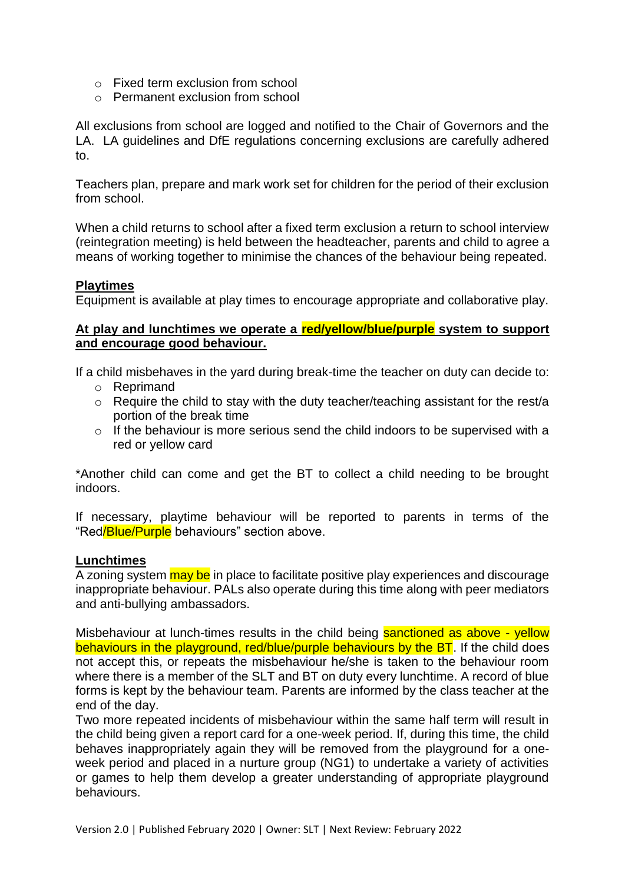- o Fixed term exclusion from school
- o Permanent exclusion from school

All exclusions from school are logged and notified to the Chair of Governors and the LA. LA guidelines and DfE regulations concerning exclusions are carefully adhered to.

Teachers plan, prepare and mark work set for children for the period of their exclusion from school.

When a child returns to school after a fixed term exclusion a return to school interview (reintegration meeting) is held between the headteacher, parents and child to agree a means of working together to minimise the chances of the behaviour being repeated.

#### **Playtimes**

Equipment is available at play times to encourage appropriate and collaborative play.

#### **At play and lunchtimes we operate a red/yellow/blue/purple system to support and encourage good behaviour.**

If a child misbehaves in the yard during break-time the teacher on duty can decide to:

- o Reprimand
- $\circ$  Require the child to stay with the duty teacher/teaching assistant for the rest/a portion of the break time
- $\circ$  If the behaviour is more serious send the child indoors to be supervised with a red or yellow card

\*Another child can come and get the BT to collect a child needing to be brought indoors.

If necessary, playtime behaviour will be reported to parents in terms of the "Red/Blue/Purple behaviours" section above.

#### **Lunchtimes**

A zoning system may be in place to facilitate positive play experiences and discourage inappropriate behaviour. PALs also operate during this time along with peer mediators and anti-bullying ambassadors.

Misbehaviour at lunch-times results in the child being sanctioned as above - yellow behaviours in the playground, red/blue/purple behaviours by the BT. If the child does not accept this, or repeats the misbehaviour he/she is taken to the behaviour room where there is a member of the SLT and BT on duty every lunchtime. A record of blue forms is kept by the behaviour team. Parents are informed by the class teacher at the end of the day.

Two more repeated incidents of misbehaviour within the same half term will result in the child being given a report card for a one-week period. If, during this time, the child behaves inappropriately again they will be removed from the playground for a oneweek period and placed in a nurture group (NG1) to undertake a variety of activities or games to help them develop a greater understanding of appropriate playground behaviours.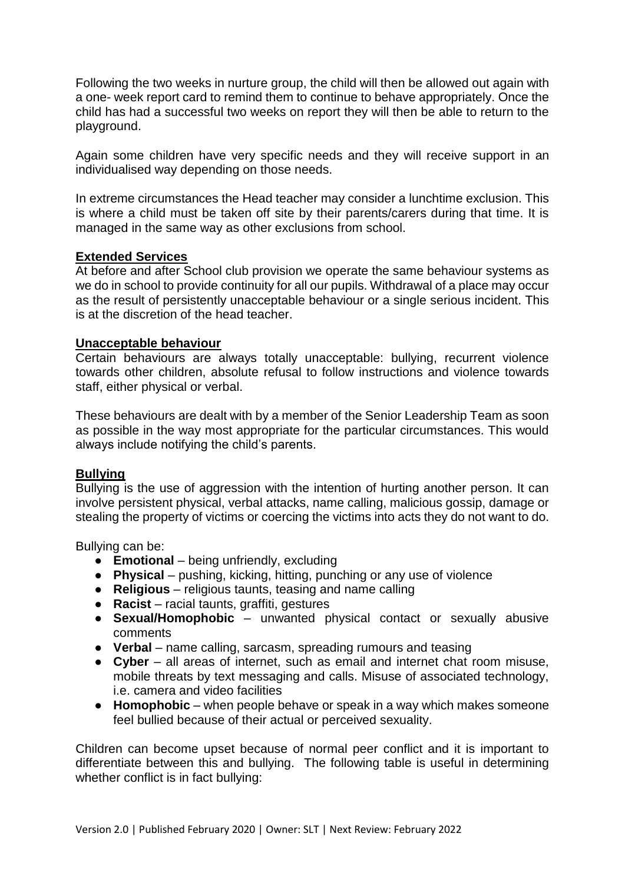Following the two weeks in nurture group, the child will then be allowed out again with a one- week report card to remind them to continue to behave appropriately. Once the child has had a successful two weeks on report they will then be able to return to the playground.

Again some children have very specific needs and they will receive support in an individualised way depending on those needs.

In extreme circumstances the Head teacher may consider a lunchtime exclusion. This is where a child must be taken off site by their parents/carers during that time. It is managed in the same way as other exclusions from school.

#### **Extended Services**

At before and after School club provision we operate the same behaviour systems as we do in school to provide continuity for all our pupils. Withdrawal of a place may occur as the result of persistently unacceptable behaviour or a single serious incident. This is at the discretion of the head teacher.

#### **Unacceptable behaviour**

Certain behaviours are always totally unacceptable: bullying, recurrent violence towards other children, absolute refusal to follow instructions and violence towards staff, either physical or verbal.

These behaviours are dealt with by a member of the Senior Leadership Team as soon as possible in the way most appropriate for the particular circumstances. This would always include notifying the child's parents.

#### **Bullying**

Bullying is the use of aggression with the intention of hurting another person. It can involve persistent physical, verbal attacks, name calling, malicious gossip, damage or stealing the property of victims or coercing the victims into acts they do not want to do.

Bullying can be:

- **Emotional** being unfriendly, excluding
- **Physical** pushing, kicking, hitting, punching or any use of violence
- **Religious**  religious taunts, teasing and name calling
- **Racist** racial taunts, graffiti, gestures
- **Sexual/Homophobic** unwanted physical contact or sexually abusive comments
- **Verbal**  name calling, sarcasm, spreading rumours and teasing
- **Cyber**  all areas of internet, such as email and internet chat room misuse, mobile threats by text messaging and calls. Misuse of associated technology, i.e. camera and video facilities
- **Homophobic** when people behave or speak in a way which makes someone feel bullied because of their actual or perceived sexuality.

Children can become upset because of normal peer conflict and it is important to differentiate between this and bullying. The following table is useful in determining whether conflict is in fact bullying: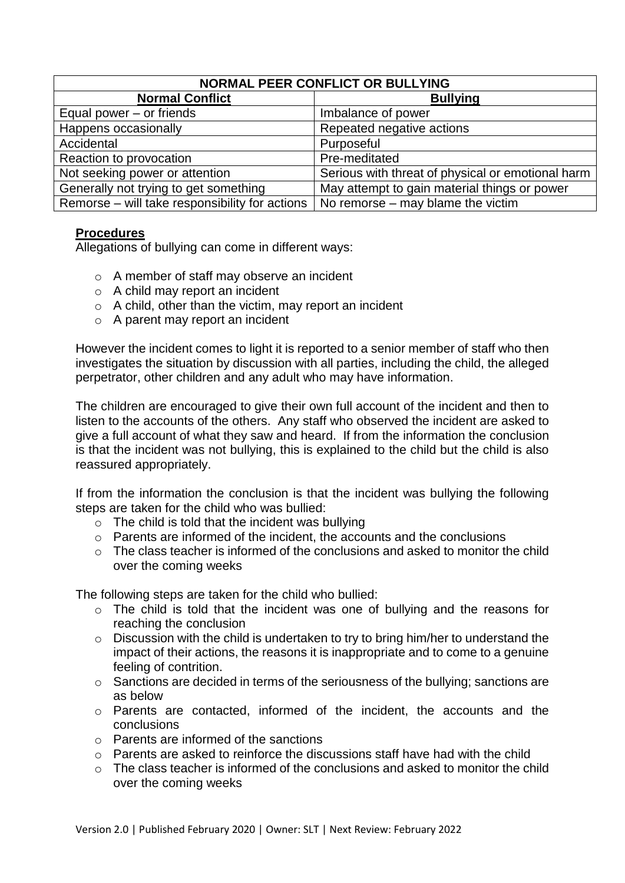| NORMAL PEER CONFLICT OR BULLYING               |                                                   |  |  |
|------------------------------------------------|---------------------------------------------------|--|--|
| <b>Normal Conflict</b>                         | <b>Bullying</b>                                   |  |  |
| Equal power $-$ or friends                     | Imbalance of power                                |  |  |
| Happens occasionally                           | Repeated negative actions                         |  |  |
| Accidental                                     | Purposeful                                        |  |  |
| Reaction to provocation                        | Pre-meditated                                     |  |  |
| Not seeking power or attention                 | Serious with threat of physical or emotional harm |  |  |
| Generally not trying to get something          | May attempt to gain material things or power      |  |  |
| Remorse – will take responsibility for actions | No remorse $-$ may blame the victim               |  |  |

#### **Procedures**

Allegations of bullying can come in different ways:

- o A member of staff may observe an incident
- o A child may report an incident
- $\circ$  A child, other than the victim, may report an incident
- o A parent may report an incident

However the incident comes to light it is reported to a senior member of staff who then investigates the situation by discussion with all parties, including the child, the alleged perpetrator, other children and any adult who may have information.

The children are encouraged to give their own full account of the incident and then to listen to the accounts of the others. Any staff who observed the incident are asked to give a full account of what they saw and heard. If from the information the conclusion is that the incident was not bullying, this is explained to the child but the child is also reassured appropriately.

If from the information the conclusion is that the incident was bullying the following steps are taken for the child who was bullied:

- $\circ$  The child is told that the incident was bullying
- o Parents are informed of the incident, the accounts and the conclusions
- o The class teacher is informed of the conclusions and asked to monitor the child over the coming weeks

The following steps are taken for the child who bullied:

- o The child is told that the incident was one of bullying and the reasons for reaching the conclusion
- o Discussion with the child is undertaken to try to bring him/her to understand the impact of their actions, the reasons it is inappropriate and to come to a genuine feeling of contrition.
- o Sanctions are decided in terms of the seriousness of the bullying; sanctions are as below
- o Parents are contacted, informed of the incident, the accounts and the conclusions
- o Parents are informed of the sanctions
- $\circ$  Parents are asked to reinforce the discussions staff have had with the child
- o The class teacher is informed of the conclusions and asked to monitor the child over the coming weeks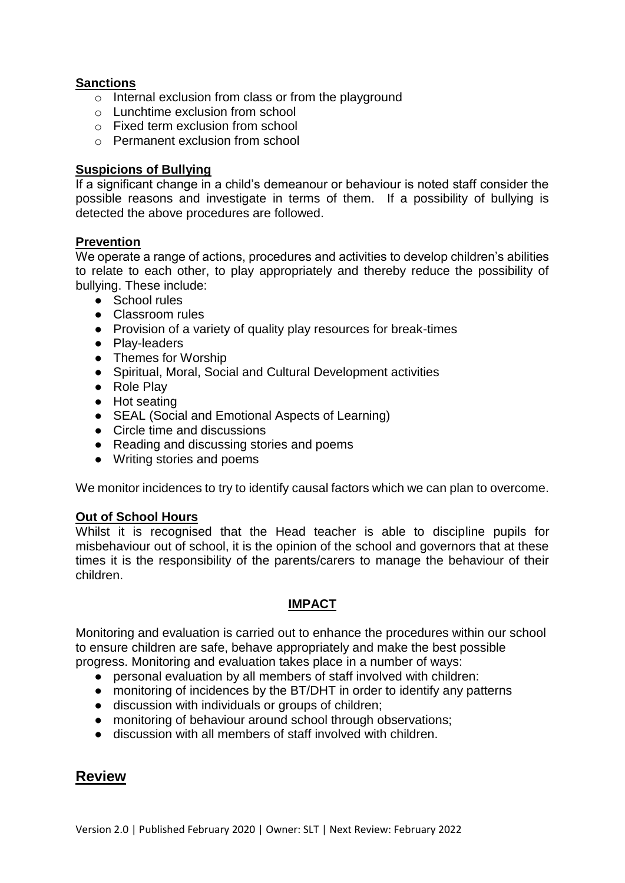#### **Sanctions**

- o Internal exclusion from class or from the playground
- $\circ$  Lunchtime exclusion from school
- $\circ$  Fixed term exclusion from school
- o Permanent exclusion from school

#### **Suspicions of Bullying**

If a significant change in a child's demeanour or behaviour is noted staff consider the possible reasons and investigate in terms of them. If a possibility of bullying is detected the above procedures are followed.

#### **Prevention**

We operate a range of actions, procedures and activities to develop children's abilities to relate to each other, to play appropriately and thereby reduce the possibility of bullying. These include:

- School rules
- Classroom rules
- Provision of a variety of quality play resources for break-times
- Play-leaders
- Themes for Worship
- Spiritual, Moral, Social and Cultural Development activities
- Role Plav
- Hot seating
- SEAL (Social and Emotional Aspects of Learning)
- Circle time and discussions
- Reading and discussing stories and poems
- Writing stories and poems

We monitor incidences to try to identify causal factors which we can plan to overcome.

#### **Out of School Hours**

Whilst it is recognised that the Head teacher is able to discipline pupils for misbehaviour out of school, it is the opinion of the school and governors that at these times it is the responsibility of the parents/carers to manage the behaviour of their children.

#### **IMPACT**

Monitoring and evaluation is carried out to enhance the procedures within our school to ensure children are safe, behave appropriately and make the best possible progress. Monitoring and evaluation takes place in a number of ways:

- personal evaluation by all members of staff involved with children:
- monitoring of incidences by the BT/DHT in order to identify any patterns
- discussion with individuals or groups of children;
- monitoring of behaviour around school through observations:
- discussion with all members of staff involved with children.

## **Review**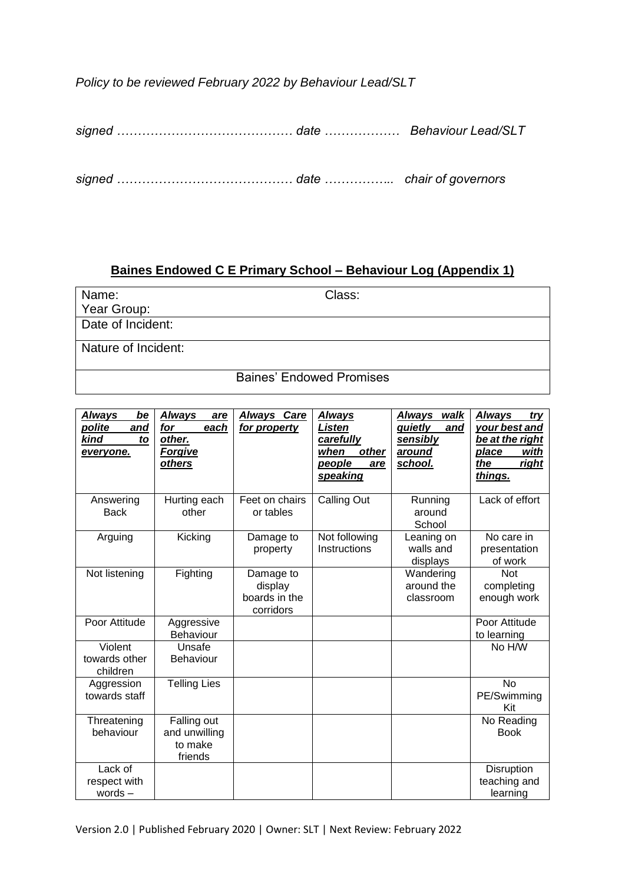*Policy to be reviewed February 2022 by Behaviour Lead/SLT*

*signed …………………………………… date ……………… Behaviour Lead/SLT*

*signed …………………………………… date …………….. chair of governors*

### **Baines Endowed C E Primary School – Behaviour Log (Appendix 1)**

Name: Class: Year Group: Date of Incident: Nature of Incident: Baines' Endowed Promises

| <u>Always</u><br><u>be</u><br>polite<br>and<br>kind<br>to<br>everyone. | Always<br>are<br>for<br>each<br>other.<br><b>Forgive</b><br>others | <b>Always Care</b><br>for property                 | Always<br>Listen<br>carefully<br>when<br>other<br>people<br>are<br>speaking | <b>Always walk</b><br>quietly<br>and<br>sensibly<br>around<br>school. | Always<br>try<br>your best and<br>be at the right<br>place<br>with<br><b>right</b><br>the<br>things. |
|------------------------------------------------------------------------|--------------------------------------------------------------------|----------------------------------------------------|-----------------------------------------------------------------------------|-----------------------------------------------------------------------|------------------------------------------------------------------------------------------------------|
| Answering<br><b>Back</b>                                               | Hurting each<br>other                                              | Feet on chairs<br>or tables                        | Calling Out                                                                 | Running<br>around<br>School                                           | Lack of effort                                                                                       |
| Arguing                                                                | Kicking                                                            | Damage to<br>property                              | Not following<br>Instructions                                               | Leaning on<br>walls and<br>displays                                   | No care in<br>presentation<br>of work                                                                |
| Not listening                                                          | Fighting                                                           | Damage to<br>display<br>boards in the<br>corridors |                                                                             | Wandering<br>around the<br>classroom                                  | <b>Not</b><br>completing<br>enough work                                                              |
| Poor Attitude                                                          | Aggressive<br><b>Behaviour</b>                                     |                                                    |                                                                             |                                                                       | Poor Attitude<br>to learning                                                                         |
| Violent<br>towards other<br>children                                   | Unsafe<br><b>Behaviour</b>                                         |                                                    |                                                                             |                                                                       | No H/W                                                                                               |
| Aggression<br>towards staff                                            | <b>Telling Lies</b>                                                |                                                    |                                                                             |                                                                       | <b>No</b><br>PE/Swimming<br>Kit                                                                      |
| Threatening<br>behaviour                                               | Falling out<br>and unwilling<br>to make<br>friends                 |                                                    |                                                                             |                                                                       | No Reading<br><b>Book</b>                                                                            |
| Lack of<br>respect with<br>words $-$                                   |                                                                    |                                                    |                                                                             |                                                                       | Disruption<br>teaching and<br>learning                                                               |

Version 2.0 | Published February 2020 | Owner: SLT | Next Review: February 2022